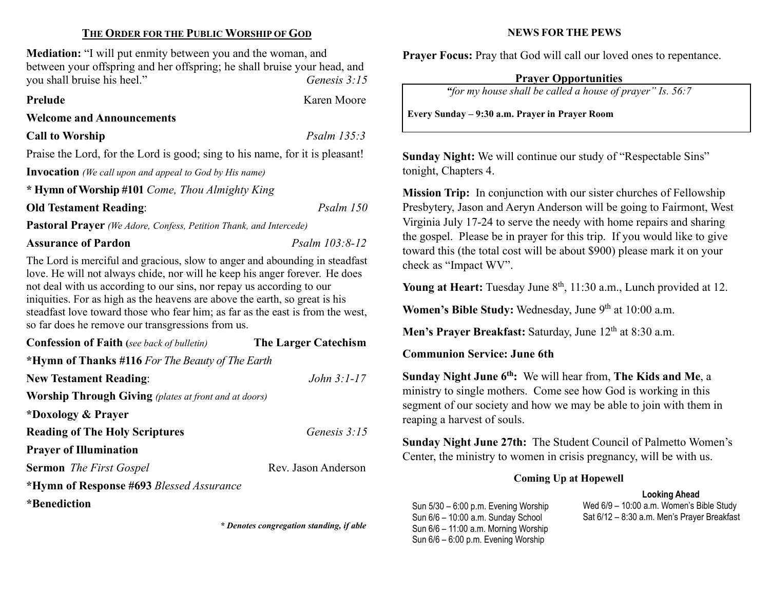## THE ORDER FOR THE PUBLIC WORSHIP OF GOD

Mediation: "I will put enmity between you and the woman, and between your offspring and her offspring; he shall bruise your head, and you shall bruise his heel." Genesis 3:15

Prelude Karen Moore

#### Welcome and Announcements

Call to Worship Psalm 135:3

Praise the Lord, for the Lord is good; sing to his name, for it is pleasant!

Invocation (We call upon and appeal to God by His name)

\* Hymn of Worship #101 Come, Thou Almighty King

Old Testament Reading: Psalm 150

Pastoral Prayer (We Adore, Confess, Petition Thank, and Intercede)

Assurance of Pardon Psalm 103:8-12

The Lord is merciful and gracious, slow to anger and abounding in steadfast love. He will not always chide, nor will he keep his anger forever. He does not deal with us according to our sins, nor repay us according to our iniquities. For as high as the heavens are above the earth, so great is his steadfast love toward those who fear him; as far as the east is from the west, so far does he remove our transgressions from us.

| <b>Confession of Faith</b> (see back of bulletin)            | The Larger Catechism |  |
|--------------------------------------------------------------|----------------------|--|
| *Hymn of Thanks #116 For The Beauty of The Earth             |                      |  |
| <b>New Testament Reading:</b>                                | John $3:1-17$        |  |
| <b>Worship Through Giving</b> (plates at front and at doors) |                      |  |
| *Doxology & Prayer                                           |                      |  |
| <b>Reading of The Holy Scriptures</b>                        | Genesis 3:15         |  |
| <b>Prayer of Illumination</b>                                |                      |  |
| <b>Sermon</b> The First Gospel                               | Rev. Jason Anderson  |  |
| *Hymn of Response #693 Blessed Assurance                     |                      |  |
| *Benediction                                                 |                      |  |

\* Denotes congregation standing, if able

## NEWS FOR THE PEWS

Prayer Focus: Pray that God will call our loved ones to repentance.

# Prayer Opportunities

"for my house shall be called a house of prayer" Is. 56:7

Every Sunday – 9:30 a.m. Prayer in Prayer Room

Sunday Night: We will continue our study of "Respectable Sins" tonight, Chapters 4.

Mission Trip: In conjunction with our sister churches of Fellowship Presbytery, Jason and Aeryn Anderson will be going to Fairmont, West Virginia July 17-24 to serve the needy with home repairs and sharing the gospel. Please be in prayer for this trip. If you would like to give toward this (the total cost will be about \$900) please mark it on your check as "Impact WV".

Young at Heart: Tuesday June  $8<sup>th</sup>$ , 11:30 a.m., Lunch provided at 12.

Women's Bible Study: Wednesday, June 9<sup>th</sup> at 10:00 a.m.

Men's Prayer Breakfast: Saturday, June  $12<sup>th</sup>$  at 8:30 a.m.

Communion Service: June 6th

Sunday Night June 6<sup>th</sup>: We will hear from, The Kids and Me, a ministry to single mothers. Come see how God is working in this segment of our society and how we may be able to join with them in reaping a harvest of souls.

Sunday Night June 27th: The Student Council of Palmetto Women's Center, the ministry to women in crisis pregnancy, will be with us.

# Coming Up at Hopewell

# Looking Ahead

Sun 5/30 – 6:00 p.m. Evening Worship Sun 6/6 – 10:00 a.m. Sunday School Sun 6/6 – 11:00 a.m. Morning Worship Sun 6/6 – 6:00 p.m. Evening Worship

Wed 6/9 – 10:00 a.m. Women's Bible Study Sat 6/12 – 8:30 a.m. Men's Prayer Breakfast